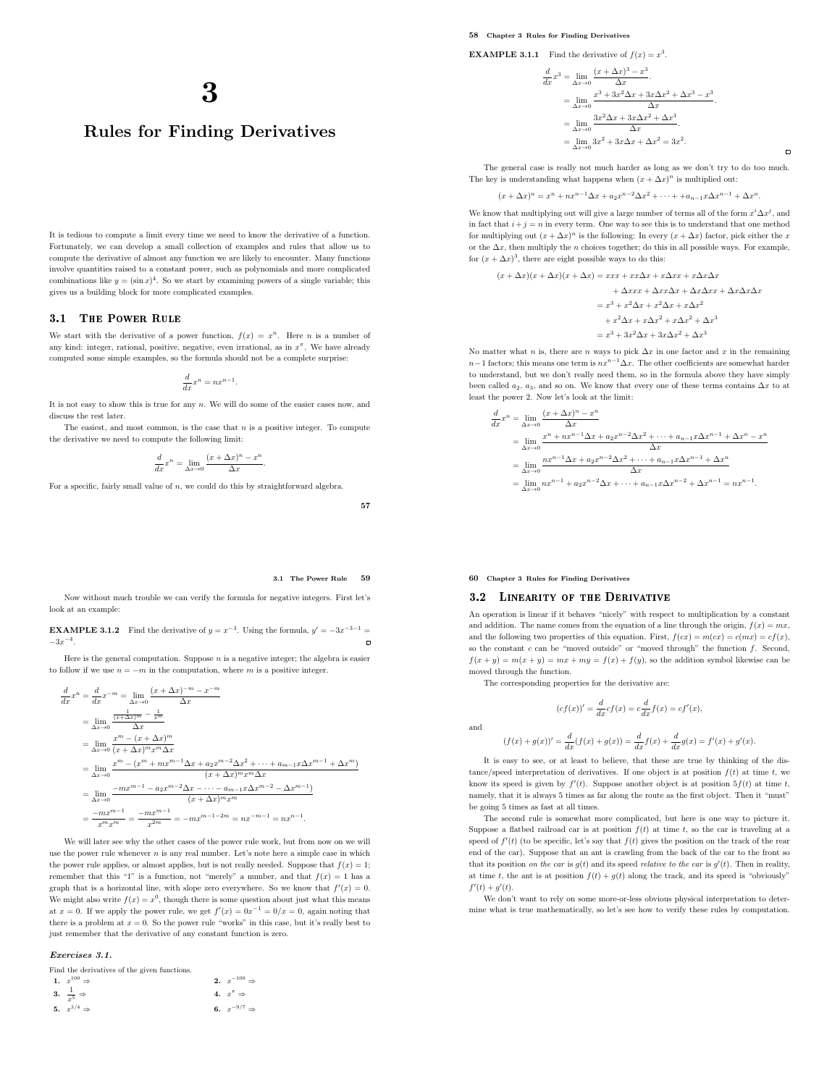# Rules for Finding Derivatives

It is tedious to compute a limit every time we need to know the derivative of a function. Fortunately, we can develop a small collection of examples and rules that allow us to compute the derivative of almost any function we are likely to encounter. Many functions involve quantities raised to a constant power, such as polynomials and more complicated combinations like  $y = (\sin x)^4$ . So we start by examining powers of a single variable; this gives us a building block for more complicated examples.

# 3.1 The Power Rule

We start with the derivative of a power function,  $f(x) = x^n$ . Here *n* is a number of any kind: integer, rational, positive, negative, even irrational, as in  $x^{\pi}$ . We have already computed some simple examples, so the formula should not be a complete surprise:

$$
\frac{d}{dx}x^n = nx^{n-1}.
$$

It is not easy to show this is true for any n. We will do some of the easier cases now, and discuss the rest later.

The easiest, and most common, is the case that  $n$  is a positive integer. To compute the derivative we need to compute the following limit:

$$
\frac{d}{dx}x^n=\lim_{\Delta x\to 0}\frac{(x+\Delta x)^n-x^n}{\Delta x}.
$$

For a specific, fairly small value of  $n$ , we could do this by straightforward algebra.

57

#### 3.1 The Power Rule 59

Now without much trouble we can verify the formula for negative integers. First let's look at an example:

**EXAMPLE 3.1.2** Find the derivative of  $y = x^{-3}$ . Using the formula,  $y' = -3x^{-3-1}$  $-3x^{-4}$ .  $\overline{a}$ 

Here is the general computation. Suppose  $n$  is a negative integer; the algebra is easier to follow if we use  $n = -m$  in the computation, where m is a positive integer.

$$
\frac{d}{dx}x^{n} = \frac{d}{dx}x^{-m} = \lim_{\Delta x \to 0} \frac{(x + \Delta x)^{-m} - x^{-m}}{\Delta x}
$$
\n
$$
= \lim_{\Delta x \to 0} \frac{\frac{\pi^{m} - (x + \Delta x)^{m}}{\Delta x}}{\Delta x}
$$
\n
$$
= \lim_{\Delta x \to 0} \frac{x^{m} - (x + \Delta x)^{m}}{(x + \Delta x)^{m}x^{m} \Delta x}
$$
\n
$$
= \lim_{\Delta x \to 0} \frac{x^{m} - (x^{m} + mx^{m-1} \Delta x + a_{2}x^{m-2} \Delta x^{2} + \dots + a_{m-1}x \Delta x^{m-1} + \Delta x^{m})}{(x + \Delta x)^{m}x^{m} \Delta x}
$$
\n
$$
= \lim_{\Delta x \to 0} \frac{-mx^{m-1} - a_{2}x^{m-2} \Delta x - \dots - a_{m-1}x \Delta x^{m-2} - \Delta x^{m-1}}{(x + \Delta x)^{m}x^{m}}
$$
\n
$$
= \frac{-mx^{m-1}}{x^{m}x^{m}} = \frac{-mx^{m-1}}{x^{2m}} = -mx^{m-1-2m} = nx^{-m-1} = nx^{n-1}.
$$

We will later see why the other cases of the power rule work, but from now on we will use the power rule whenever  $n$  is any real number. Let's note here a simple case in which the power rule applies, or almost applies, but is not really needed. Suppose that  $f(x) = 1$ ; remember that this "1" is a function, not "merely" a number, and that  $f(x) = 1$  has a graph that is a horizontal line, with slope zero everywhere. So we know that  $f'(x) = 0$ . We might also write  $f(x) = x^0$ , though there is some question about just what this means at  $x = 0$ . If we apply the power rule, we get  $f'(x) = 0x^{-1} = 0/x = 0$ , again noting that there is a problem at  $x = 0$ . So the power rule "works" in this case, but it's really best to just remember that the derivative of any constant function is zero.

Exercises 3.1.

| Find the derivatives of the given functions. |                           |
|----------------------------------------------|---------------------------|
| 1. $x^{100} \Rightarrow$                     | 2. $x^{-100} \Rightarrow$ |
| 3. $\frac{1}{r^5} \Rightarrow$               | 4. $x^{\pi} \Rightarrow$  |
| 5. $x^{3/4} \Rightarrow$                     | 6. $x^{-9/7} \Rightarrow$ |

#### 58 Chapter 3 Rules for Finding Derivatives

**EXAMPLE 3.1.1** Find the derivative of  $f(x) = x^3$ .

$$
\frac{d}{dx}x^3 = \lim_{\Delta x \to 0} \frac{(x + \Delta x)^3 - x^3}{\Delta x}.
$$
  
\n
$$
= \lim_{\Delta x \to 0} \frac{x^3 + 3x^2\Delta x + 3x\Delta x^2 + \Delta x^3 - x^3}{\Delta x}.
$$
  
\n
$$
= \lim_{\Delta x \to 0} \frac{3x^2\Delta x + 3x\Delta x^2 + \Delta x^3}{\Delta x}.
$$
  
\n
$$
= \lim_{\Delta x \to 0} 3x^2 + 3x\Delta x + \Delta x^2 = 3x^2.
$$

The general case is really not much harder as long as we don't try to do too much. The key is understanding what happens when  $(x + \Delta x)^n$  is multiplied out:

 $\Box$ 

$$
(x + \Delta x)^n = x^n + nx^{n-1} \Delta x + a_2 x^{n-2} \Delta x^2 + \dots + a_{n-1} x \Delta x^{n-1} + \Delta x^n.
$$

We know that multiplying out will give a large number of terms all of the form  $x^i \Delta x^j$ , and in fact that  $i+j = n$  in every term. One way to see this is to understand that one method for multiplying out  $(x + \Delta x)^n$  is the following: In every  $(x + \Delta x)$  factor, pick either the x or the  $\Delta x$ , then multiply the *n* choices together; do this in all possible ways. For example, for  $(x + \Delta x)^3$ , there are eight possible ways to do this:

$$
(x + \Delta x)(x + \Delta x)(x + \Delta x) = xxx + xx\Delta x + x\Delta x x + x\Delta x\Delta x
$$

$$
+ \Delta xxx + \Delta xx\Delta x + \Delta x\Delta x x + \Delta x\Delta x\Delta x
$$

$$
= x^3 + x^2\Delta x + x^2\Delta x + x\Delta x^2
$$

$$
+ x^2\Delta x + x\Delta x^2 + x\Delta x^2
$$

$$
= x^3 + 3x^2\Delta x + 3x\Delta x^2 + \Delta x^3
$$

No matter what n is, there are n ways to pick  $\Delta x$  in one factor and x in the remaining  $n-1$  factors; this means one term is  $nx^{n-1}\Delta x$ . The other coefficients are somewhat harder to understand, but we don't really need them, so in the formula above they have simply been called  $a_2, \, a_3$ , and so on. We know that every one of these terms contains  $\Delta x$  to at least the power 2. Now let's look at the limit:

$$
\frac{d}{dx}x^{n} = \lim_{\Delta x \to 0} \frac{(x + \Delta x)^{n} - x^{n}}{\Delta x}
$$
\n
$$
= \lim_{\Delta x \to 0} \frac{x^{n} + nx^{n-1} \Delta x + a_{2}x^{n-2} \Delta x^{2} + \dots + a_{n-1}x \Delta x^{n-1} + \Delta x^{n} - x^{n}}{\Delta x}
$$
\n
$$
= \lim_{\Delta x \to 0} \frac{nx^{n-1} \Delta x + a_{2}x^{n-2} \Delta x^{2} + \dots + a_{n-1}x \Delta x^{n-1} + \Delta x^{n}}{\Delta x}
$$
\n
$$
= \lim_{\Delta x \to 0} nx^{n-1} + a_{2}x^{n-2} \Delta x + \dots + a_{n-1}x \Delta x^{n-2} + \Delta x^{n-1} = nx^{n-1}.
$$

#### 60 Chapter 3 Rules for Finding Derivatives

and

# 3.2 Linearity of the Derivative

An operation is linear if it behaves "nicely" with respect to multiplication by a constant and addition. The name comes from the equation of a line through the origin,  $f(x) = mx$ , and the following two properties of this equation. First,  $f(cx) = m(cx) = c(mx) = cf(x)$ , so the constant  $c$  can be "moved outside" or "moved through" the function  $f$ . Second,  $f(x + y) = m(x + y) = mx + my = f(x) + f(y)$ , so the addition symbol likewise can be moved through the function.

The corresponding properties for the derivative are:

$$
(cf(x))' = \frac{d}{dx}cf(x) = c\frac{d}{dx}f(x) = cf'(x),
$$
  

$$
(f(x) + g(x))' = \frac{d}{dx}(f(x) + g(x)) = \frac{d}{dx}f(x) + \frac{d}{dx}g(x) = f'(x) + g'(x).
$$

It is easy to see, or at least to believe, that these are true by thinking of the distance/speed interpretation of derivatives. If one object is at position  $f(t)$  at time t, we know its speed is given by  $f'(t)$ . Suppose another object is at position  $5f(t)$  at time t, namely, that it is always 5 times as far along the route as the first object. Then it "must" be going 5 times as fast at all times.

The second rule is somewhat more complicated, but here is one way to picture it. Suppose a flatbed railroad car is at position  $f(t)$  at time t, so the car is traveling at a speed of  $f'(t)$  (to be specific, let's say that  $f(t)$  gives the position on the track of the rear end of the car). Suppose that an ant is crawling from the back of the car to the front so that its position on the car is  $g(t)$  and its speed relative to the car is  $g'(t)$ . Then in reality, at time t, the ant is at position  $f(t) + g(t)$  along the track, and its speed is "obviously"  $f'(t) + g'(t)$ .

We don't want to rely on some more-or-less obvious physical interpretation to determine what is true mathematically, so let's see how to verify these rules by computation.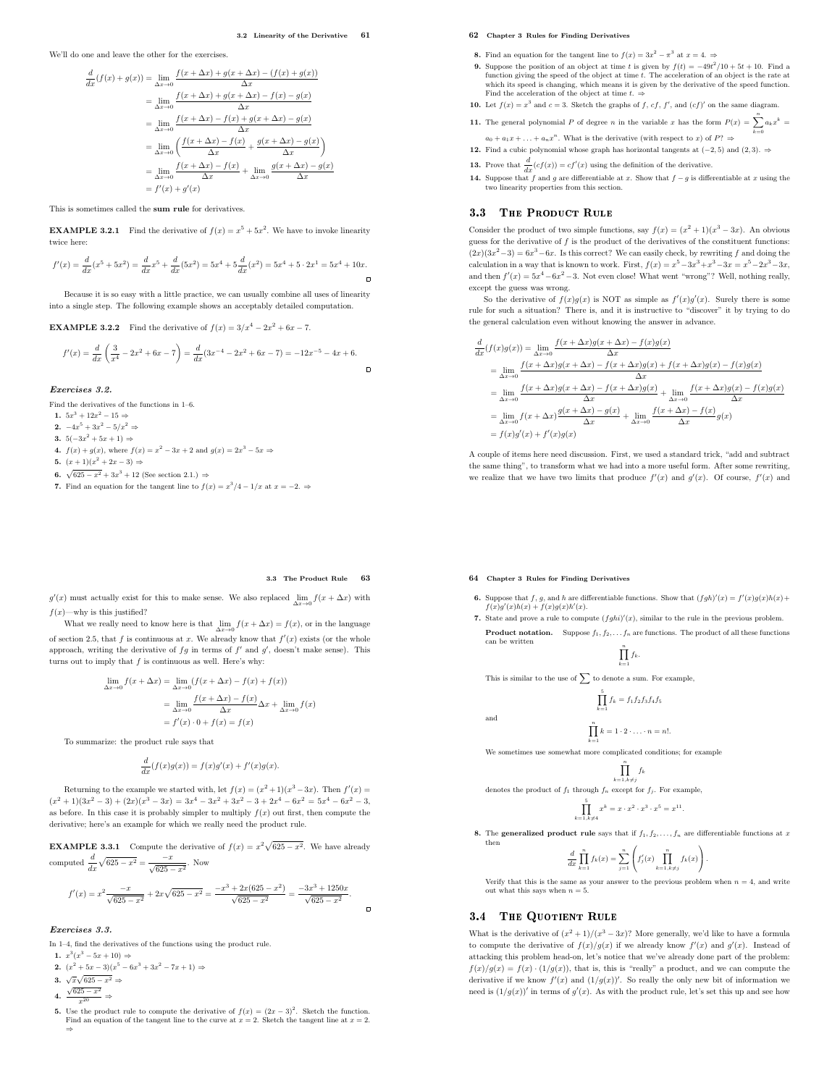We'll do one and leave the other for the exercises.

d

$$
\frac{d}{dx}(f(x) + g(x)) = \lim_{\Delta x \to 0} \frac{f(x + \Delta x) + g(x + \Delta x) - (f(x) + g(x))}{\Delta x}
$$
\n
$$
= \lim_{\Delta x \to 0} \frac{f(x + \Delta x) + g(x + \Delta x) - f(x) - g(x)}{\Delta x}
$$
\n
$$
= \lim_{\Delta x \to 0} \frac{f(x + \Delta x) - f(x) + g(x + \Delta x) - g(x)}{\Delta x}
$$
\n
$$
= \lim_{\Delta x \to 0} \left( \frac{f(x + \Delta x) - f(x)}{\Delta x} + \frac{g(x + \Delta x) - g(x)}{\Delta x} \right)
$$
\n
$$
= \lim_{\Delta x \to 0} \frac{f(x + \Delta x) - f(x)}{\Delta x} + \lim_{\Delta x \to 0} \frac{g(x + \Delta x) - g(x)}{\Delta x}
$$
\n
$$
= f'(x) + g'(x)
$$

This is sometimes called the sum rule for derivatives.

**EXAMPLE 3.2.1** Find the derivative of  $f(x) = x^5 + 5x^2$ . We have to invoke linearity twice here:

$$
f'(x)=\frac{d}{dx}(x^5+5x^2)=\frac{d}{dx}x^5+\frac{d}{dx}(5x^2)=5x^4+5\frac{d}{dx}(x^2)=5x^4+5\cdot 2x^1=5x^4+10x.
$$

Because it is so easy with a little practice, we can usually combine all uses of linearity into a single step. The following example shows an acceptably detailed computation.

**EXAMPLE 3.2.2** Find the derivative of  $f(x) = 3/x^4 - 2x^2 + 6x - 7$ .

$$
f'(x)=\frac{d}{dx}\left(\frac{3}{x^4}-2x^2+6x-7\right)=\frac{d}{dx}(3x^{-4}-2x^2+6x-7)=-12x^{-5}-4x+6.
$$

Exercises 3.2.

Find the derivatives of the functions in 1–6.

- 1.  $5x^3 + 12x^2 15 \Rightarrow$
- 2.  $-4x^5 + 3x^2 5/x^2$  ⇒
- 3.  $5(-3x^2 + 5x + 1)$  ⇒
- **4.**  $f(x) + g(x)$ , where  $f(x) = x^2 3x + 2$  and  $g(x) = 2x^3 5x$  ⇒
- 5.  $(x+1)(x^2+2x-3)$  ⇒
- 6.  $\sqrt{625 x^2} + 3x^3 + 12$  (See section 2.1.) ⇒
- 7. Find an equation for the tangent line to  $f(x) = x^3/4 1/x$  at  $x = -2.$   $\Rightarrow$

# 62 Chapter 3 Rules for Finding Derivatives

- **8.** Find an equation for the tangent line to  $f(x) = 3x^2 \pi^3$  at  $x = 4$ .
- 9. Suppose the position of an object at time t is given by  $f(t) = -49t^2/10 + 5t + 10$ . Find a function giving the speed of the object at time  $t$ . The acceleration of an object is the rate at which its speed is changing, which means it is given by the derivative of the speed function.<br>Find the acceleration of the object at time  $t. \Rightarrow$
- 10. Let  $f(x) = x^3$  and  $c = 3$ . Sketch the graphs of f, cf, f', and  $(cf)'$  on the same diagram.
- 11. The general polynomial P of degree n in the variable x has the form  $P(x) = \sum_{k=1}^{n} a_k x^k =$  $k=0$

 $a_0 + a_1x + \ldots + a_nx^n$ . What is the derivative (with respect to x) of  $P? \Rightarrow$ 12. Find a cubic polynomial whose graph has horizontal tangents at  $(-2, 5)$  and  $(2, 3)$ . ⇒

- **13.** Prove that  $\frac{d}{dx}(cf(x)) = cf'(x)$  using the definition of the derivative.
- 14. Suppose that f and g are differentiable at x. Show that  $f g$  is differentiable at x using the two linearity properties from this section.

# 3.3 THE PRODUCT RULE

Consider the product of two simple functions, say  $f(x) = (x^2 + 1)(x^3 - 3x)$ . An obvious guess for the derivative of  $f$  is the product of the derivatives of the constituent functions:  $(2x)(3x^2-3) = 6x^3-6x$ . Is this correct? We can easily check, by rewriting f and doing the calculation in a way that is known to work. First,  $f(x) = x^5 - 3x^3 + x^3 - 3x = x^5 - 2x^3 - 3x$ , and then  $f'(x) = 5x^4 - 6x^2 - 3$ . Not even close! What went "wrong"? Well, nothing really, except the guess was wrong.

So the derivative of  $f(x)g(x)$  is NOT as simple as  $f'(x)g'(x)$ . Surely there is some rule for such a situation? There is, and it is instructive to "discover" it by trying to do the general calculation even without knowing the answer in advance.

$$
\begin{split} \frac{d}{dx}(f(x)g(x))&=\lim_{\Delta x\to 0}\frac{f(x+\Delta x)g(x+\Delta x)-f(x)g(x)}{\Delta x} \\ &=\lim_{\Delta x\to 0}\frac{f(x+\Delta x)g(x+\Delta x)-f(x+\Delta x)g(x)+f(x+\Delta x)g(x)-f(x)g(x)}{\Delta x} \\ &=\lim_{\Delta x\to 0}\frac{f(x+\Delta x)g(x+\Delta x)-f(x+\Delta x)g(x)}{\Delta x}+\lim_{\Delta x\to 0}\frac{f(x+\Delta x)g(x)-f(x)g(x)}{\Delta x} \\ &=\lim_{\Delta x\to 0}f(x+\Delta x)\frac{g(x+\Delta x)-g(x)}{\Delta x}+\lim_{\Delta x\to 0}\frac{f(x+\Delta x)-f(x)}{\Delta x}g(x) \\ &=f(x)g'(x)+f'(x)g(x) \end{split}
$$

A couple of items here need discussion. First, we used a standard trick, "add and subtract the same thing", to transform what we had into a more useful form. After some rewriting, we realize that we have two limits that produce  $f'(x)$  and  $g'(x)$ . Of course,  $f'(x)$  and

#### 3.3 The Product Rule 63

 $\Box$ 

 $g'(x)$  must actually exist for this to make sense. We also replaced  $\lim_{\Delta x \to 0} f(x + \Delta x)$  with  $f(x)$ —why is this justified?

What we really need to know here is that  $\lim_{\Delta x \to 0} f(x + \Delta x) = f(x)$ , or in the language of section 2.5, that f is continuous at x. We already know that  $f'(x)$  exists (or the whole approach, writing the derivative of  $fg$  in terms of  $f'$  and  $g'$ , doesn't make sense). This turns out to imply that  $f$  is continuous as well. Here's why:

$$
\lim_{\Delta x \to 0} f(x + \Delta x) = \lim_{\Delta x \to 0} (f(x + \Delta x) - f(x) + f(x))
$$

$$
= \lim_{\Delta x \to 0} \frac{f(x + \Delta x) - f(x)}{\Delta x} \Delta x + \lim_{\Delta x \to 0} f(x)
$$

$$
= f'(x) \cdot 0 + f(x) = f(x)
$$

To summarize: the product rule says that

$$
\frac{d}{dx}(f(x)g(x)) = f(x)g'(x) + f'(x)g(x).
$$

Returning to the example we started with, let  $f(x) = (x^2 + 1)(x^3 - 3x)$ . Then  $f'(x) =$  $(x^{2} + 1)(3x^{2} - 3) + (2x)(x^{3} - 3x) = 3x^{4} - 3x^{2} + 3x^{2} - 3 + 2x^{4} - 6x^{2} = 5x^{4} - 6x^{2} - 3,$ as before. In this case it is probably simpler to multiply  $f(x)$  out first, then compute the derivative; here's an example for which we really need the product rule.

**EXAMPLE 3.3.1** Compute the derivative of  $f(x) = x^2 \sqrt{625 - x^2}$ . We have already computed  $\frac{d}{dx}\sqrt{625 - x^2} = \frac{-x}{\sqrt{625 - x^2}}$ . Now

$$
f'(x) = x^2 \frac{-x}{\sqrt{625 - x^2}} + 2x\sqrt{625 - x^2} = \frac{-x^3 + 2x(625 - x^2)}{\sqrt{625 - x^2}} = \frac{-3x^3 + 1250x}{\sqrt{625 - x^2}}.
$$

#### Exercises 3.3.

In  $1\!\!-\!\!4,$  find the derivatives of the functions using the product rule.

- 1.  $x^3(x^3 5x + 10) \Rightarrow$
- 2.  $(x^2 + 5x 3)(x^5 6x^3 + 3x^2 7x + 1)$  ⇒
- 3.  $\sqrt{x}\sqrt{625-x^2}$  ⇒
- 4.  $\frac{\sqrt{625-x^2}}{20}$

⇒

**4.**  $\frac{1}{x^2}$  ⇒  $\Rightarrow$ <br>5. Use the product rule to compute the derivative of  $f(x) = (2x - 3)^2$ . Sketch the function.<br>Find an equation of the tangent line to the curve at  $x = 2$ . Sketch the tangent line at  $x = 2$ .

 $\Box$ 

- **6.** Suppose that f, g, and h are differentiable functions. Show that  $(fgh)'(x) = f'(x)g(x)h(x) +$  $f(x)g'(x)h(x) + f(x)g(x)h'(x)$ .
- 7. State and prove a rule to compute  $(fghi)'(x)$ , similar to the rule in the previous problem. **Product notation.** Suppose  $f_1, f_2, \ldots, f_n$  are functions. The product of all these functions can be written

$$
\prod_{k=1}^n f_k.
$$

This is similar to the use of  $\sum$  to denote a sum. For example,

64 Chapter 3 Rules for Finding Derivatives

and

$$
\prod_{k=1}^{5} f_k = f_1 f_2 f_3 f_4 f_5
$$

$$
\prod_{k=1}^{n} k = 1 \cdot 2 \cdot \ldots \cdot n = n!.
$$

We sometimes use somewhat more complicated conditions; for example

$$
\prod_{k=1, k\neq j}^n f_k
$$

denotes the product of  $f_1$  through  $f_n$  except for  $f_i$ . For example,

$$
\prod_{k=1, k \neq 4}^{3} x^{k} = x \cdot x^{2} \cdot x^{3} \cdot x^{5} = x^{11}.
$$

8. The generalized product rule says that if  $f_1, f_2, \ldots, f_n$  are differentiable functions at x then

$$
\frac{d}{dx}\prod_{k=1}^{n}f_{k}(x) = \sum_{j=1}^{n} \left(f'_{j}(x)\prod_{k=1, k \neq j}^{n}f_{k}(x)\right).
$$

Verify that this is the same as your answer to the previous problem when  $n = 4$ , and write out what this says when  $n = 5$ .

#### 3.4 THE QUOTIENT RULE 3.4 The Quotient Rules

What is the derivative of  $(x^2 + 1)/(x^3 - 3x)$ ? More generally, we'd like to have a formula to compute the derivative of  $f(x)/g(x)$  if we already know  $f'(x)$  and  $g'(x)$ . Instead of attacking this problem head-on, let's notice that we've already done part of the problem:  $f(x)/g(x) = f(x) \cdot (1/g(x))$ , that is, this is "really" a product, and we can compute the derivative if we know  $f'(x)$  and  $(1/g(x))'$ . So really the only new bit of information we need is  $(1/g(x))'$  in terms of  $g'(x)$ . As with the product rule, let's set this up and see how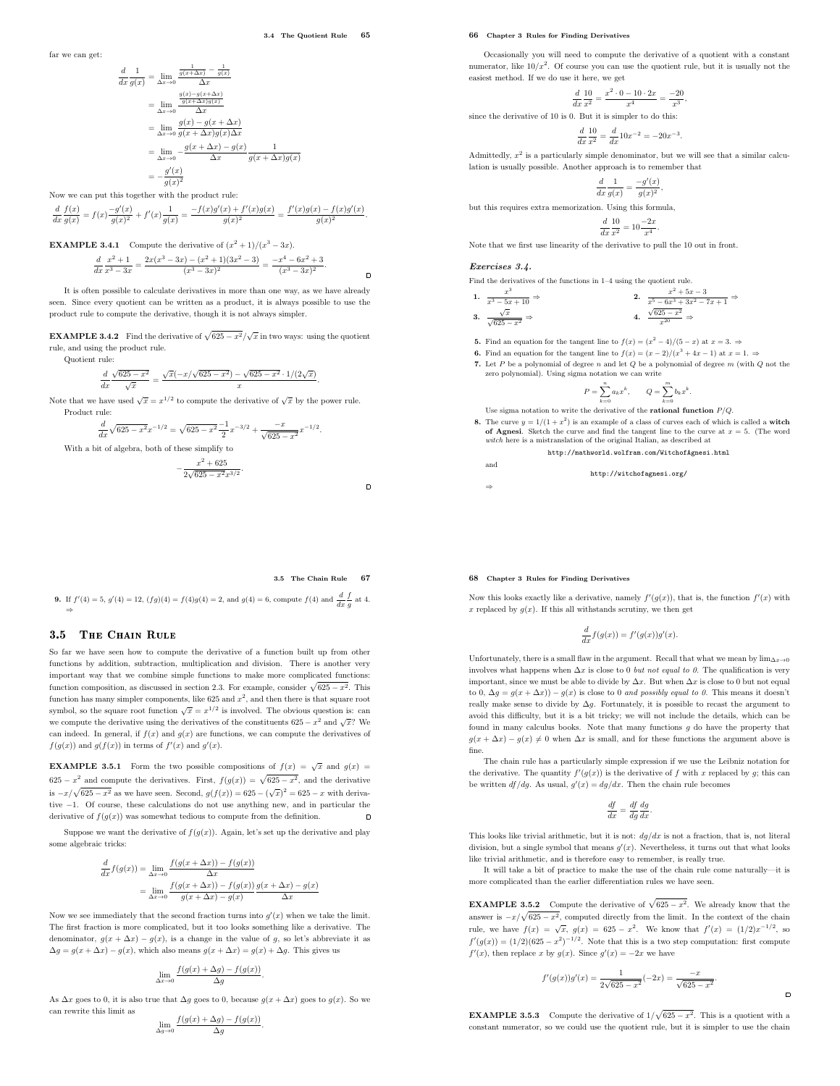3.4 The Quotient Rule 65

 $\Box$ 

 $\Box$ 

far we can get:

$$
\frac{d}{dx}\frac{1}{g(x)} = \lim_{\Delta x \to 0} \frac{\frac{1}{g(x+\Delta x)} - \frac{1}{g(x)}}{\Delta x}
$$
\n
$$
= \lim_{\Delta x \to 0} \frac{\frac{g(x) - g(x+\Delta x)}{g(x+\Delta x)g(x)}}{\Delta x}
$$
\n
$$
= \lim_{\Delta x \to 0} \frac{g(x) - g(x+\Delta x)}{g(x+\Delta x)g(x)\Delta x}
$$
\n
$$
= \lim_{\Delta x \to 0} -\frac{g(x+\Delta x) - g(x)}{\Delta x} \frac{1}{g(x+\Delta x)g(x)}
$$
\n
$$
= -\frac{g'(x)}{g(x)^2}
$$

Now we can put this together with the product rule:

d

d  $d_{x}$  $f(x)$  $\frac{f(x)}{g(x)} = f(x) \frac{-g'(x)}{g(x)^2}$  $\frac{-g'(x)}{g(x)^2} + f'(x) \frac{1}{g(x)}$  $\frac{1}{g(x)} = \frac{-f(x)g'(x) + f'(x)g(x)}{g(x)^2}$  $\frac{f'(x)g(x)}{g(x)^2} = \frac{f'(x)g(x) - f(x)g'(x)}{g(x)^2}$  $\frac{g(x)^2}{g(x)^2}$ .

**EXAMPLE 3.4.1** Compute the derivative of  $(x^2 + 1)/(x^3 - 3x)$ . d  $d_{x}$  $x^2+1$  $\frac{x^2+1}{x^3-3x} = \frac{2x(x^3-3x)-(x^2+1)(3x^2-3)}{(x^3-3x)^2} = \frac{-x^4-6x^2+3}{(x^3-3x)^2}$  $(x^3-3x)^2$ .

It is often possible to calculate derivatives in more than one way, as we have already seen. Since every quotient can be written as a product, it is always possible to use the product rule to compute the derivative, though it is not always simpler.

**EXAMPLE 3.4.2** Find the derivative of  $\sqrt{625 - x^2}/\sqrt{x}$  in two ways: using the quotient rule, and using the product rule. Quotient rule:

$$
\frac{d}{dx}\frac{\sqrt{625-x^2}}{\sqrt{x}} = \frac{\sqrt{x}(-x/\sqrt{625-x^2}) - \sqrt{625-x^2} \cdot 1/(2\sqrt{x})}{x}.
$$

Note that we have used  $\sqrt{x} = x^{1/2}$  to compute the derivative of  $\sqrt{x}$  by the power rule. Product rule:

d  $\frac{d}{dx}\sqrt{625-x^2}x^{-1/2} = \sqrt{625-x^2}\frac{-1}{2}x^{-3/2} + \frac{-x}{\sqrt{625-x^2}}x^{-1/2}.$ With a bit of algebra, both of these simplify to  $-\frac{x^2+625}{2\sqrt{625-x^2}}$  $\sqrt{625 - x^2}x^{3/2}$ .

3.5 The Chain Rule 67

**9.** If 
$$
f'(4) = 5
$$
,  $g'(4) = 12$ ,  $(fg)(4) = f(4)g(4) = 2$ , and  $g(4) = 6$ , compute  $f(4)$  and  $\frac{d}{dx} \frac{f}{g}$  at 4.

# 3.5 THE CHAIN RULE

So far we have seen how to compute the derivative of a function built up from other functions by addition, subtraction, multiplication and division. There is another very important way that we combine simple functions to make more complicated functions: function composition, as discussed in section 2.3. For example, consider  $\sqrt{625 - x^2}$ . This function has many simpler components, like  $625$  and  $x^2$ , and then there is that square root symbol, so the square root function  $\sqrt{x} = x^{1/2}$  is involved. The obvious question is: can we compute the derivative using the derivatives of the constituents  $625 - x^2$  and  $\sqrt{x}$ ? We can indeed. In general, if  $f(x)$  and  $g(x)$  are functions, we can compute the derivatives of  $f(g(x))$  and  $g(f(x))$  in terms of  $f'(x)$  and  $g'(x)$ .

**EXAMPLE 3.5.1** Form the two possible compositions of  $f(x) = \sqrt{x}$  and  $g(x) =$ 625 −  $x^2$  and compute the derivatives. First,  $f(g(x)) = \sqrt{625 - x^2}$ , and the derivative is  $-x/\sqrt{625 - x^2}$  as we have seen. Second,  $g(f(x)) = 625 - (\sqrt{x})^2 = 625 - x$  with derivative −1. Of course, these calculations do not use anything new, and in particular the derivative of  $f(g(x))$  was somewhat tedious to compute from the definition.

Suppose we want the derivative of  $f(g(x))$ . Again, let's set up the derivative and play some algebraic tricks:

$$
\frac{d}{dx}f(g(x)) = \lim_{\Delta x \to 0} \frac{f(g(x + \Delta x)) - f(g(x))}{\Delta x}
$$

$$
= \lim_{\Delta x \to 0} \frac{f(g(x + \Delta x)) - f(g(x))}{g(x + \Delta x) - g(x)} \frac{g(x + \Delta x) - g(x)}{\Delta x}
$$

Now we see immediately that the second fraction turns into  $g'(x)$  when we take the limit. The first fraction is more complicated, but it too looks something like a derivative. The denominator,  $g(x + \Delta x) - g(x)$ , is a change in the value of g, so let's abbreviate it as  $\Delta g=g(x+\Delta x)-g(x),$  which also means  $g(x+\Delta x)=g(x)+\Delta g.$  This gives us

$$
\lim_{\Delta x \to 0} \frac{f(g(x) + \Delta g) - f(g(x))}{\Delta g}.
$$

As  $\Delta x$  goes to 0, it is also true that  $\Delta g$  goes to 0, because  $g(x + \Delta x)$  goes to  $g(x)$ . So we can rewrite this limit as

$$
\lim_{\Delta g \to 0} \frac{f(g(x) + \Delta g) - f(g(x))}{\Delta g}.
$$

#### 66 Chapter 3 Rules for Finding Derivatives

Occasionally you will need to compute the derivative of a quotient with a constant numerator, like  $10/x^2$ . Of course you can use the quotient rule, but it is usually not the easiest method. If we do use it here, we get

$$
\frac{d}{dx}\frac{10}{x^2} = \frac{x^2 \cdot 0 - 10 \cdot 2x}{x^4} = \frac{-20}{x^3},
$$

since the derivative of 10 is 0. But it is simpler to do this:

$$
\frac{d}{dx}\frac{10}{x^2} = \frac{d}{dx}10x^{-2} = -20x^{-3}
$$

.

Admittedly,  $x^2$  is a particularly simple denominator, but we will see that a similar calculation is usually possible. Another approach is to remember that

$$
\frac{d}{dx}\frac{1}{g(x)} = \frac{-g'(x)}{g(x)^2},
$$

but this requires extra memorization. Using this formula,

$$
\frac{d}{dx}\frac{10}{x^2} = 10\frac{-2x}{x^4}.
$$

Note that we first use linearity of the derivative to pull the 10 out in front.

#### Exercises 3.4.

 $\mathbf{1}$ .

3.

and

⇒

Find the derivatives of the functions in 1–4 using the quotient rule.

$$
\frac{x^3}{x^3 - 5x + 10} \Rightarrow \qquad \qquad 2. \quad \frac{x^2 + 5x - 3}{x^5 - 6x^3 + 3x^2 - 7x + 1} \Rightarrow
$$
  

$$
\frac{\sqrt{x}}{\sqrt{625 - x^2}} \Rightarrow \qquad \qquad 4. \quad \frac{\sqrt{625 - x^2}}{x^{20}} \Rightarrow
$$

**5.** Find an equation for the tangent line to  $f(x) = (x^2 - 4)/(5 - x)$  at  $x = 3$ .

- **6.** Find an equation for the tangent line to  $f(x) = (x 2)/(x^3 + 4x 1)$  at  $x = 1$ .  $\Rightarrow$
- 7. Let  $P$  be a polynomial of degree  $n$  and let  $Q$  be a polynomial of degree  $m$  (with  $Q$  not the zero polynomial). Using sigma notation we can write

$$
P = \sum_{k=0}^{n} a_k x^k, \qquad Q = \sum_{k=0}^{m} b_k x^k
$$

.

Use sigma notation to write the derivative of the **rational function**  $P/O$ .

**8.** The curve  $y = 1/(1 + x^2)$  is an example of a class of curves each of which is called a **witch of Agnesi**. Sketch the curve and find the tangent line to the curve at  $x = 5$ . (The word  $\emph{witch}$ here is a mistranslation of the original Italian, as described at

http://mathworld.wolfram.com/WitchofAgnesi.html

$$
\verb+http://withouthofagnesi.org/
$$

# 68 Chapter 3 Rules for Finding Derivatives

Now this looks exactly like a derivative, namely  $f'(g(x))$ , that is, the function  $f'(x)$  with x replaced by  $g(x)$ . If this all withstands scrutiny, we then get

$$
\frac{d}{dx}f(g(x)) = f'(g(x))g'(x).
$$

Unfortunately, there is a small flaw in the argument. Recall that what we mean by  $\lim_{\Delta x \to 0}$ involves what happens when  $\Delta x$  is close to 0 *but not equal to 0*. The qualification is very important, since we must be able to divide by  $\Delta x$ . But when  $\Delta x$  is close to 0 but not equal to 0,  $\Delta q = q(x + \Delta x) - q(x)$  is close to 0 and possibly equal to 0. This means it doesn't really make sense to divide by  $\Delta g$ . Fortunately, it is possible to recast the argument to avoid this difficulty, but it is a bit tricky; we will not include the details, which can be found in many calculus books. Note that many functions  $g$  do have the property that  $g(x + \Delta x) - g(x) \neq 0$  when  $\Delta x$  is small, and for these functions the argument above is fine.

The chain rule has a particularly simple expression if we use the Leibniz notation for the derivative. The quantity  $f'(g(x))$  is the derivative of f with x replaced by g; this can be written  $df/dg$ . As usual,  $g'(x) = dg/dx$ . Then the chain rule becomes

$$
\frac{df}{dx} = \frac{df}{dg}\frac{dg}{dx}.
$$

This looks like trivial arithmetic, but it is not:  $dg/dx$  is not a fraction, that is, not literal division, but a single symbol that means  $g'(x)$ . Nevertheless, it turns out that what looks like trivial arithmetic, and is therefore easy to remember, is really true.

It will take a bit of practice to make the use of the chain rule come naturally—it is more complicated than the earlier differentiation rules we have seen.

**EXAMPLE 3.5.2** Compute the derivative of  $\sqrt{625 - x^2}$ . We already know that the answer is  $-x/\sqrt{625 - x^2}$ , computed directly from the limit. In the context of the chain rule, we have  $f(x) = \sqrt{x}$ ,  $g(x) = 625 - x^2$ . We know that  $f'(x) = (1/2)x^{-1/2}$ , so  $f'(g(x)) = (1/2)(625 - x^2)^{-1/2}$ . Note that this is a two step computation: first compute  $f'(x)$ , then replace x by  $g(x)$ . Since  $g'(x) = -2x$  we have

$$
f'(g(x))g'(x) = \frac{1}{2\sqrt{625 - x^2}}(-2x) = \frac{-x}{\sqrt{625 - x^2}}.
$$

 $\Box$ 

**EXAMPLE 3.5.3** Compute the derivative of  $1/\sqrt{625 - x^2}$ . This is a quotient with a constant numerator, so we could use the quotient rule, but it is simpler to use the chain